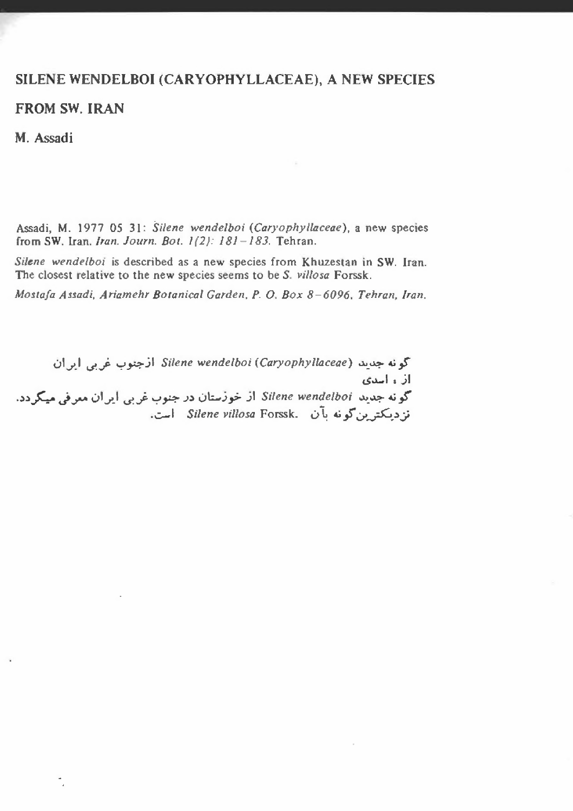## SILENE WENDELBOI (CARYOPHYLLACEAE), A NEW SPECIES

FROM SW. IRAN

M. Assadi

Assadi, M. 1977 05 31: *Silene wendelboi (Car)'ophy/laceae).* a new species from SW. *lran.lran, Journ. Bot.* 1(2): 181-/83. Tehran.

*Silene wendelboi* is described as a new species from Khuzestan in SW. Iran. The closest relative to the new species seems to be *S. villosa* Forssk.

*Mostafa Assadi, Ariamehr Botanical Garden, P. O. Box 8-6096, Tehran, Iran.*

01J'.Il.J'...p "=,,pj\ *Silene wendelboi (Caryophy/laceae)* w\_~~,s ان ، اسدی كونه جديد Silene wendelboi أز خوزستان در جنوب غربي أيران معرفي ميكردد. نزدیکترین گونه بآن *Silene villosa* Forssk. است.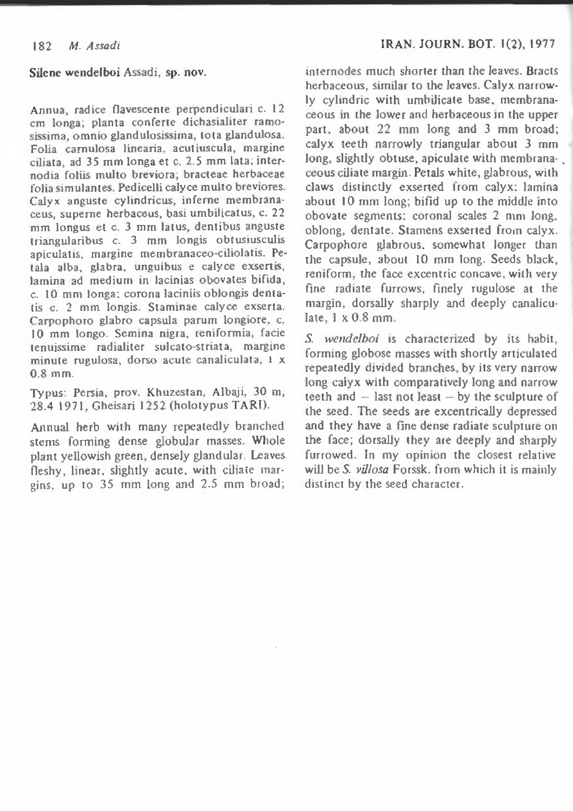## Silene wendelboi Assadi, sp. nov.

Annua, radice flavescente perpendiculari c. 12 ern longa; planta conferre dichasialiter ramosissima, omnio glandulosissima, tota glandulosa. Folia carnulosa linearia, acutiuscula, margine ciliata, ad 35 mm longa et c. 2.5 mm lata; internodia foliis multo breviora; bracteae herbaceae folia simulantes. Pedicelli calyce multo breviores. Calyx anguste cylindricus, inferne membranaceus, superne herbaceus, basi urnbilicatus, c. 22 mm longus et c. 3 mm latus, dentibus anguste triangularibus c. 3 mm longis obt usiusculis apiculatis, margine membranaceo-ciliolatis. Petala alba, glabra, unguibus e calyce exsertis, lamina ad medium in lacinias obovates bifida, c. 10 mm longa; corona laciniis oblongis dentatis c. 2 mm longis. Staminae calyce exserta. Carpophoro giabro capsula parum longiore, c. 10 mm longo. Semina nigra, reniforrnia, facie tenuissirne radialiter sulcate-striata, margine minute rugulosa, dorso acute canaliculata, 1 x 0.8 mm.

Typus: Persia, prov. Khuzestan, Albaji, 30 m, 28.4 1971, Gheisari 1252 (holotypus TARI).

Annual herb with many repeatedly branched stems forming dense globular masses. Whole plant yellowish green, densely glandular. Leaves fleshy, linear, slightly acute. with ciliate margins, up to 35 mm long and 2.5 mm broad;

internodes much shorter than the leaves. Bracts herbaceous, similar to the leaves. Calyx narrowly cylindric with umbilicate base. membranaceous in the lower and herbaceous in the upper part. about 22 mm long and 3 mm broad; calyx teeth narrowly triangular about 3 mm long, slightly obtuse, apiculare with membrana- . ceous ciliate margin. Petals white, glabrous, with claws distinctly exserted from calyx; lamina about 10 mm long; bifid up to the middle into obovate segments; coronal scales 2 rum long. oblong, dentate. Stamens exserted from calyx. Carpophore glabrous. somewhat longer than the capsuJe, about 10 mm long. Seeds black, reniform, the face excentric concave. with very fine radiate furrows, finely rugulose at the margin, dorsally sharply and deeply canaliculate, 1 x 0.8 mm.

S. *wendelboi* is characterized by its habit, forming globose masses with shortly articulated repeatedly divided branches, by its *very* narrow long calyx with comparatively long and narrow teeth and  $-$  last not least  $-$  by the sculpture of the seed. The seeds are excentrically depressed and they have a fine dense radiate sculpture on the face; dorsally they are deeply and sharply furrowed. In my opinion the closest relative will be S. *villosa* Forssk. from which it is mainly distinct by the seed character.